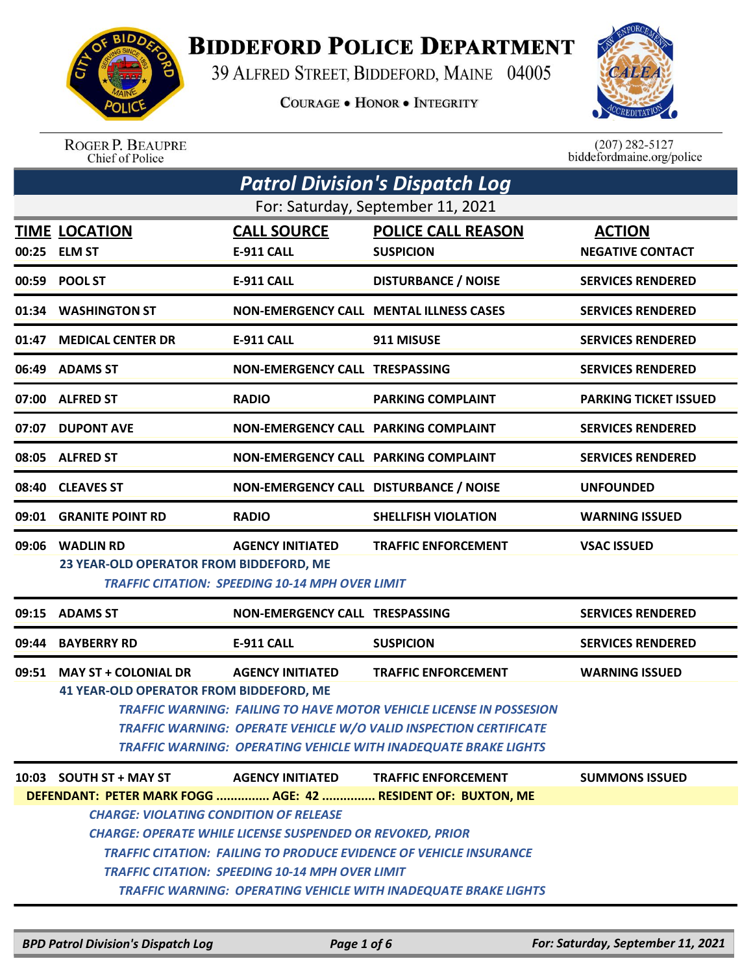

## **BIDDEFORD POLICE DEPARTMENT**

39 ALFRED STREET, BIDDEFORD, MAINE 04005

**COURAGE . HONOR . INTEGRITY** 



ROGER P. BEAUPRE<br>Chief of Police

 $(207)$  282-5127 biddefordmaine.org/police

| <b>Patrol Division's Dispatch Log</b>         |                                                                           |                                                        |                                                                            |                              |  |  |
|-----------------------------------------------|---------------------------------------------------------------------------|--------------------------------------------------------|----------------------------------------------------------------------------|------------------------------|--|--|
| For: Saturday, September 11, 2021             |                                                                           |                                                        |                                                                            |                              |  |  |
|                                               | <b>TIME LOCATION</b>                                                      | <b>CALL SOURCE</b>                                     | <b>POLICE CALL REASON</b>                                                  | <b>ACTION</b>                |  |  |
|                                               | 00:25 ELM ST                                                              | E-911 CALL                                             | <b>SUSPICION</b>                                                           | <b>NEGATIVE CONTACT</b>      |  |  |
|                                               | 00:59 POOL ST                                                             | <b>E-911 CALL</b>                                      | <b>DISTURBANCE / NOISE</b>                                                 | <b>SERVICES RENDERED</b>     |  |  |
| 01:34                                         | <b>WASHINGTON ST</b>                                                      |                                                        | <b>NON-EMERGENCY CALL MENTAL ILLNESS CASES</b>                             | <b>SERVICES RENDERED</b>     |  |  |
| 01:47                                         | <b>MEDICAL CENTER DR</b>                                                  | <b>E-911 CALL</b>                                      | 911 MISUSE                                                                 | <b>SERVICES RENDERED</b>     |  |  |
|                                               | 06:49 ADAMS ST                                                            | NON-EMERGENCY CALL TRESPASSING                         |                                                                            | <b>SERVICES RENDERED</b>     |  |  |
|                                               | 07:00 ALFRED ST                                                           | <b>RADIO</b>                                           | <b>PARKING COMPLAINT</b>                                                   | <b>PARKING TICKET ISSUED</b> |  |  |
|                                               | 07:07 DUPONT AVE                                                          | NON-EMERGENCY CALL PARKING COMPLAINT                   |                                                                            | <b>SERVICES RENDERED</b>     |  |  |
|                                               | 08:05 ALFRED ST                                                           | NON-EMERGENCY CALL PARKING COMPLAINT                   |                                                                            | <b>SERVICES RENDERED</b>     |  |  |
| 08:40                                         | <b>CLEAVES ST</b>                                                         | NON-EMERGENCY CALL DISTURBANCE / NOISE                 |                                                                            | <b>UNFOUNDED</b>             |  |  |
|                                               | 09:01 GRANITE POINT RD                                                    | <b>RADIO</b>                                           | <b>SHELLFISH VIOLATION</b>                                                 | <b>WARNING ISSUED</b>        |  |  |
| 09:06                                         | <b>WADLIN RD</b>                                                          | <b>AGENCY INITIATED</b>                                | <b>TRAFFIC ENFORCEMENT</b>                                                 | <b>VSAC ISSUED</b>           |  |  |
|                                               | 23 YEAR-OLD OPERATOR FROM BIDDEFORD, ME                                   |                                                        |                                                                            |                              |  |  |
|                                               |                                                                           | <b>TRAFFIC CITATION: SPEEDING 10-14 MPH OVER LIMIT</b> |                                                                            |                              |  |  |
|                                               | 09:15 ADAMS ST                                                            | <b>NON-EMERGENCY CALL TRESPASSING</b>                  |                                                                            | <b>SERVICES RENDERED</b>     |  |  |
| 09:44                                         | <b>BAYBERRY RD</b>                                                        | <b>E-911 CALL</b>                                      | <b>SUSPICION</b>                                                           | <b>SERVICES RENDERED</b>     |  |  |
| 09:51                                         | <b>MAY ST + COLONIAL DR</b>                                               | <b>AGENCY INITIATED</b>                                | <b>TRAFFIC ENFORCEMENT</b>                                                 | <b>WARNING ISSUED</b>        |  |  |
|                                               | <b>41 YEAR-OLD OPERATOR FROM BIDDEFORD, ME</b>                            |                                                        |                                                                            |                              |  |  |
|                                               |                                                                           |                                                        | <b>TRAFFIC WARNING: FAILING TO HAVE MOTOR VEHICLE LICENSE IN POSSESION</b> |                              |  |  |
|                                               |                                                                           |                                                        | TRAFFIC WARNING: OPERATE VEHICLE W/O VALID INSPECTION CERTIFICATE          |                              |  |  |
|                                               |                                                                           |                                                        | <b>TRAFFIC WARNING: OPERATING VEHICLE WITH INADEQUATE BRAKE LIGHTS</b>     |                              |  |  |
|                                               | 10:03 SOUTH $ST + MAYST$                                                  | <b>AGENCY INITIATED</b>                                | <b>TRAFFIC ENFORCEMENT</b>                                                 | <b>SUMMONS ISSUED</b>        |  |  |
|                                               | DEFENDANT: PETER MARK FOGG  AGE: 42  RESIDENT OF: BUXTON, ME              |                                                        |                                                                            |                              |  |  |
| <b>CHARGE: VIOLATING CONDITION OF RELEASE</b> |                                                                           |                                                        |                                                                            |                              |  |  |
|                                               | <b>CHARGE: OPERATE WHILE LICENSE SUSPENDED OR REVOKED, PRIOR</b>          |                                                        |                                                                            |                              |  |  |
|                                               | <b>TRAFFIC CITATION: FAILING TO PRODUCE EVIDENCE OF VEHICLE INSURANCE</b> |                                                        |                                                                            |                              |  |  |
|                                               | <b>TRAFFIC CITATION: SPEEDING 10-14 MPH OVER LIMIT</b>                    |                                                        |                                                                            |                              |  |  |
|                                               | <b>TRAFFIC WARNING: OPERATING VEHICLE WITH INADEQUATE BRAKE LIGHTS</b>    |                                                        |                                                                            |                              |  |  |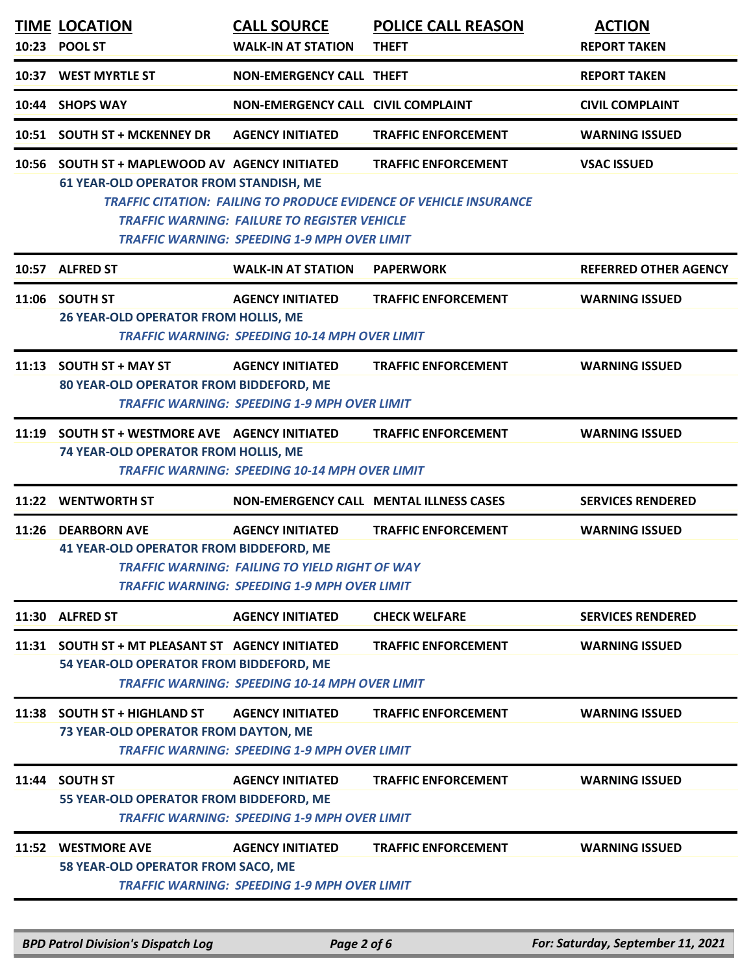|       | 10:23 POOL ST                                                                                                                                                                                                  | <b>WALK-IN AT STATION</b>                                                                                                        | <b>THEFT</b>                                                                                            | <b>ACTION</b><br><b>REPORT TAKEN</b> |
|-------|----------------------------------------------------------------------------------------------------------------------------------------------------------------------------------------------------------------|----------------------------------------------------------------------------------------------------------------------------------|---------------------------------------------------------------------------------------------------------|--------------------------------------|
|       | 10:37 WEST MYRTLE ST                                                                                                                                                                                           | NON-EMERGENCY CALL THEFT                                                                                                         |                                                                                                         | <b>REPORT TAKEN</b>                  |
|       | 10:44 SHOPS WAY                                                                                                                                                                                                | NON-EMERGENCY CALL CIVIL COMPLAINT                                                                                               |                                                                                                         | <b>CIVIL COMPLAINT</b>               |
|       | 10:51 SOUTH ST + MCKENNEY DR                                                                                                                                                                                   | <b>AGENCY INITIATED</b>                                                                                                          | <b>TRAFFIC ENFORCEMENT</b>                                                                              | <b>WARNING ISSUED</b>                |
|       | 10:56 SOUTH ST + MAPLEWOOD AV AGENCY INITIATED<br><b>61 YEAR-OLD OPERATOR FROM STANDISH, ME</b>                                                                                                                | <b>TRAFFIC WARNING: FAILURE TO REGISTER VEHICLE</b><br><b>TRAFFIC WARNING: SPEEDING 1-9 MPH OVER LIMIT</b>                       | <b>TRAFFIC ENFORCEMENT</b><br><b>TRAFFIC CITATION: FAILING TO PRODUCE EVIDENCE OF VEHICLE INSURANCE</b> | <b>VSAC ISSUED</b>                   |
|       | 10:57 ALFRED ST                                                                                                                                                                                                | <b>WALK-IN AT STATION</b>                                                                                                        | <b>PAPERWORK</b>                                                                                        | <b>REFERRED OTHER AGENCY</b>         |
|       | 11:06 SOUTH ST<br><b>26 YEAR-OLD OPERATOR FROM HOLLIS, ME</b>                                                                                                                                                  | <b>AGENCY INITIATED</b><br><b>TRAFFIC WARNING: SPEEDING 10-14 MPH OVER LIMIT</b>                                                 | <b>TRAFFIC ENFORCEMENT</b>                                                                              | <b>WARNING ISSUED</b>                |
|       | 11:13 SOUTH ST + MAY ST<br>80 YEAR-OLD OPERATOR FROM BIDDEFORD, ME                                                                                                                                             | <b>AGENCY INITIATED</b><br><b>TRAFFIC WARNING: SPEEDING 1-9 MPH OVER LIMIT</b>                                                   | <b>TRAFFIC ENFORCEMENT</b>                                                                              | <b>WARNING ISSUED</b>                |
| 11:19 | <b>SOUTH ST + WESTMORE AVE AGENCY INITIATED</b><br><b>TRAFFIC ENFORCEMENT</b><br><b>WARNING ISSUED</b><br><b>74 YEAR-OLD OPERATOR FROM HOLLIS, ME</b><br><b>TRAFFIC WARNING: SPEEDING 10-14 MPH OVER LIMIT</b> |                                                                                                                                  |                                                                                                         |                                      |
| 11:22 | <b>WENTWORTH ST</b>                                                                                                                                                                                            |                                                                                                                                  | <b>NON-EMERGENCY CALL MENTAL ILLNESS CASES</b>                                                          | <b>SERVICES RENDERED</b>             |
| 11:26 | <b>DEARBORN AVE</b><br><b>41 YEAR-OLD OPERATOR FROM BIDDEFORD, ME</b>                                                                                                                                          | <b>AGENCY INITIATED</b><br>TRAFFIC WARNING: FAILING TO YIELD RIGHT OF WAY<br><b>TRAFFIC WARNING: SPEEDING 1-9 MPH OVER LIMIT</b> | <b>TRAFFIC ENFORCEMENT</b>                                                                              | <b>WARNING ISSUED</b>                |
|       | 11:30 ALFRED ST                                                                                                                                                                                                | <b>AGENCY INITIATED</b>                                                                                                          | <b>CHECK WELFARE</b>                                                                                    | <b>SERVICES RENDERED</b>             |
| 11:31 | SOUTH ST + MT PLEASANT ST AGENCY INITIATED<br>54 YEAR-OLD OPERATOR FROM BIDDEFORD, ME                                                                                                                          | <b>TRAFFIC WARNING: SPEEDING 10-14 MPH OVER LIMIT</b>                                                                            | <b>TRAFFIC ENFORCEMENT</b>                                                                              | <b>WARNING ISSUED</b>                |
|       | 11:38 SOUTH ST + HIGHLAND ST<br>73 YEAR-OLD OPERATOR FROM DAYTON, ME                                                                                                                                           | <b>AGENCY INITIATED</b><br><b>TRAFFIC WARNING: SPEEDING 1-9 MPH OVER LIMIT</b>                                                   | <b>TRAFFIC ENFORCEMENT</b>                                                                              | <b>WARNING ISSUED</b>                |
| 11:44 | <b>SOUTH ST</b><br>55 YEAR-OLD OPERATOR FROM BIDDEFORD, ME                                                                                                                                                     | <b>AGENCY INITIATED</b><br><b>TRAFFIC WARNING: SPEEDING 1-9 MPH OVER LIMIT</b>                                                   | <b>TRAFFIC ENFORCEMENT</b>                                                                              | <b>WARNING ISSUED</b>                |
| 11:52 | <b>WESTMORE AVE</b><br>58 YEAR-OLD OPERATOR FROM SACO, ME                                                                                                                                                      | <b>AGENCY INITIATED</b><br><b>TRAFFIC WARNING: SPEEDING 1-9 MPH OVER LIMIT</b>                                                   | <b>TRAFFIC ENFORCEMENT</b>                                                                              | <b>WARNING ISSUED</b>                |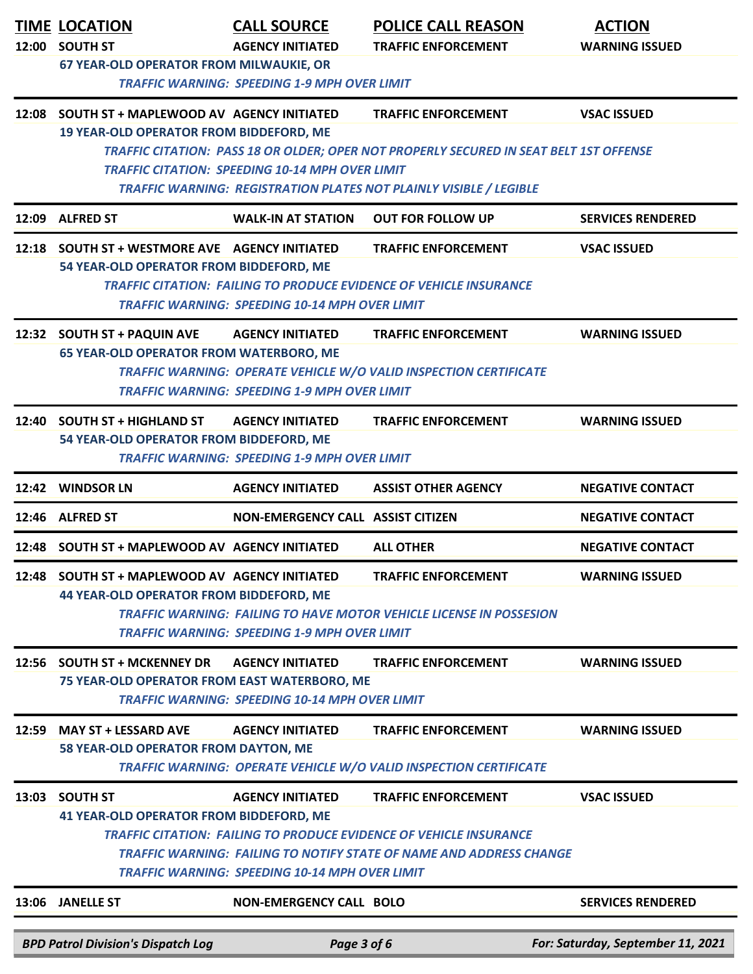|       | <b>TIME LOCATION</b><br>12:00 SOUTH ST                                                     | <b>CALL SOURCE</b><br><b>AGENCY INITIATED</b>                                    | <b>POLICE CALL REASON</b><br><b>TRAFFIC ENFORCEMENT</b>                                                                                                                               | <b>ACTION</b><br><b>WARNING ISSUED</b> |
|-------|--------------------------------------------------------------------------------------------|----------------------------------------------------------------------------------|---------------------------------------------------------------------------------------------------------------------------------------------------------------------------------------|----------------------------------------|
|       | <b>67 YEAR-OLD OPERATOR FROM MILWAUKIE, OR</b>                                             | <b>TRAFFIC WARNING: SPEEDING 1-9 MPH OVER LIMIT</b>                              |                                                                                                                                                                                       |                                        |
|       | 12:08 SOUTH ST + MAPLEWOOD AV AGENCY INITIATED<br>19 YEAR-OLD OPERATOR FROM BIDDEFORD, ME  |                                                                                  | <b>TRAFFIC ENFORCEMENT</b><br>TRAFFIC CITATION: PASS 18 OR OLDER; OPER NOT PROPERLY SECURED IN SEAT BELT 1ST OFFENSE                                                                  | <b>VSAC ISSUED</b>                     |
|       |                                                                                            | <b>TRAFFIC CITATION: SPEEDING 10-14 MPH OVER LIMIT</b>                           | TRAFFIC WARNING: REGISTRATION PLATES NOT PLAINLY VISIBLE / LEGIBLE                                                                                                                    |                                        |
|       | 12:09 ALFRED ST                                                                            | <b>WALK-IN AT STATION</b>                                                        | <b>OUT FOR FOLLOW UP</b>                                                                                                                                                              | <b>SERVICES RENDERED</b>               |
|       | 12:18 SOUTH ST + WESTMORE AVE AGENCY INITIATED<br>54 YEAR-OLD OPERATOR FROM BIDDEFORD, ME  | <b>TRAFFIC WARNING: SPEEDING 10-14 MPH OVER LIMIT</b>                            | <b>TRAFFIC ENFORCEMENT</b><br><b>TRAFFIC CITATION: FAILING TO PRODUCE EVIDENCE OF VEHICLE INSURANCE</b>                                                                               | <b>VSAC ISSUED</b>                     |
|       | 12:32 SOUTH ST + PAQUIN AVE<br><b>65 YEAR-OLD OPERATOR FROM WATERBORO, ME</b>              | <b>AGENCY INITIATED</b><br><b>TRAFFIC WARNING: SPEEDING 1-9 MPH OVER LIMIT</b>   | <b>TRAFFIC ENFORCEMENT</b><br>TRAFFIC WARNING: OPERATE VEHICLE W/O VALID INSPECTION CERTIFICATE                                                                                       | <b>WARNING ISSUED</b>                  |
|       | 12:40 SOUTH ST + HIGHLAND ST<br>54 YEAR-OLD OPERATOR FROM BIDDEFORD, ME                    | <b>AGENCY INITIATED</b><br><b>TRAFFIC WARNING: SPEEDING 1-9 MPH OVER LIMIT</b>   | <b>TRAFFIC ENFORCEMENT</b>                                                                                                                                                            | <b>WARNING ISSUED</b>                  |
| 12:42 | <b>WINDSOR LN</b>                                                                          | <b>AGENCY INITIATED</b>                                                          | <b>ASSIST OTHER AGENCY</b>                                                                                                                                                            | <b>NEGATIVE CONTACT</b>                |
|       | 12:46 ALFRED ST                                                                            | NON-EMERGENCY CALL ASSIST CITIZEN                                                |                                                                                                                                                                                       | <b>NEGATIVE CONTACT</b>                |
|       | 12:48 SOUTH ST + MAPLEWOOD AV AGENCY INITIATED                                             |                                                                                  | <b>ALL OTHER</b>                                                                                                                                                                      | <b>NEGATIVE CONTACT</b>                |
| 12:48 | <b>SOUTH ST + MAPLEWOOD AV AGENCY INITIATED</b><br>44 YEAR-OLD OPERATOR FROM BIDDEFORD, ME | <b>TRAFFIC WARNING: SPEEDING 1-9 MPH OVER LIMIT</b>                              | <b>TRAFFIC ENFORCEMENT</b><br><b>TRAFFIC WARNING: FAILING TO HAVE MOTOR VEHICLE LICENSE IN POSSESION</b>                                                                              | <b>WARNING ISSUED</b>                  |
| 12:56 | <b>SOUTH ST + MCKENNEY DR</b><br>75 YEAR-OLD OPERATOR FROM EAST WATERBORO, ME              | <b>AGENCY INITIATED</b><br><b>TRAFFIC WARNING: SPEEDING 10-14 MPH OVER LIMIT</b> | <b>TRAFFIC ENFORCEMENT</b>                                                                                                                                                            | <b>WARNING ISSUED</b>                  |
| 12:59 | <b>MAY ST + LESSARD AVE</b><br>58 YEAR-OLD OPERATOR FROM DAYTON, ME                        | <b>AGENCY INITIATED</b>                                                          | <b>TRAFFIC ENFORCEMENT</b><br>TRAFFIC WARNING: OPERATE VEHICLE W/O VALID INSPECTION CERTIFICATE                                                                                       | <b>WARNING ISSUED</b>                  |
| 13:03 | <b>SOUTH ST</b><br>41 YEAR-OLD OPERATOR FROM BIDDEFORD, ME                                 | <b>AGENCY INITIATED</b><br><b>TRAFFIC WARNING: SPEEDING 10-14 MPH OVER LIMIT</b> | <b>TRAFFIC ENFORCEMENT</b><br><b>TRAFFIC CITATION: FAILING TO PRODUCE EVIDENCE OF VEHICLE INSURANCE</b><br><b>TRAFFIC WARNING: FAILING TO NOTIFY STATE OF NAME AND ADDRESS CHANGE</b> | <b>VSAC ISSUED</b>                     |
|       | 13:06 JANELLE ST                                                                           | <b>NON-EMERGENCY CALL BOLO</b>                                                   |                                                                                                                                                                                       | <b>SERVICES RENDERED</b>               |
|       | <b>BPD Patrol Division's Dispatch Log</b>                                                  | Page 3 of 6                                                                      |                                                                                                                                                                                       | For: Saturday, September 11, 2021      |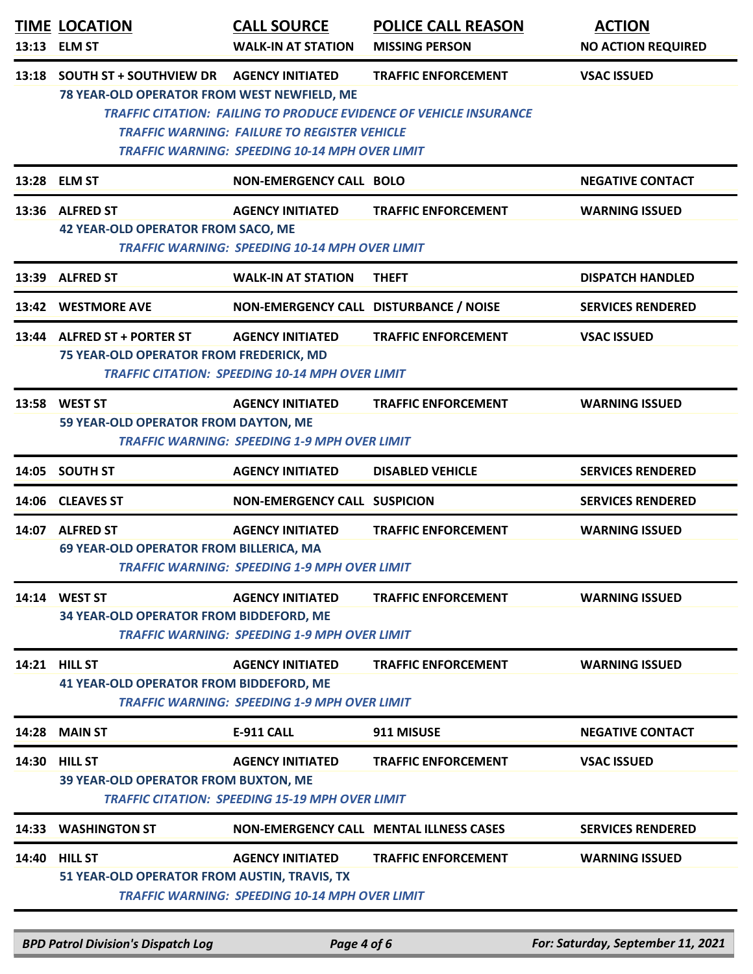| 13:13 | <b>TIME LOCATION</b><br><b>ELM ST</b>                                         | <b>CALL SOURCE</b><br><b>WALK-IN AT STATION</b>                                                                                         | <b>POLICE CALL REASON</b><br><b>MISSING PERSON</b>                                                      | <b>ACTION</b><br><b>NO ACTION REQUIRED</b> |
|-------|-------------------------------------------------------------------------------|-----------------------------------------------------------------------------------------------------------------------------------------|---------------------------------------------------------------------------------------------------------|--------------------------------------------|
| 13:18 | <b>SOUTH ST + SOUTHVIEW DR</b><br>78 YEAR-OLD OPERATOR FROM WEST NEWFIELD, ME | <b>AGENCY INITIATED</b><br><b>TRAFFIC WARNING: FAILURE TO REGISTER VEHICLE</b><br><b>TRAFFIC WARNING: SPEEDING 10-14 MPH OVER LIMIT</b> | <b>TRAFFIC ENFORCEMENT</b><br><b>TRAFFIC CITATION: FAILING TO PRODUCE EVIDENCE OF VEHICLE INSURANCE</b> | <b>VSAC ISSUED</b>                         |
|       | 13:28 ELM ST                                                                  | <b>NON-EMERGENCY CALL BOLO</b>                                                                                                          |                                                                                                         | <b>NEGATIVE CONTACT</b>                    |
|       | 13:36 ALFRED ST<br><b>42 YEAR-OLD OPERATOR FROM SACO, ME</b>                  | <b>AGENCY INITIATED</b><br><b>TRAFFIC WARNING: SPEEDING 10-14 MPH OVER LIMIT</b>                                                        | <b>TRAFFIC ENFORCEMENT</b>                                                                              | <b>WARNING ISSUED</b>                      |
|       | 13:39 ALFRED ST                                                               | <b>WALK-IN AT STATION</b>                                                                                                               | <b>THEFT</b>                                                                                            | <b>DISPATCH HANDLED</b>                    |
| 13:42 | <b>WESTMORE AVE</b>                                                           | NON-EMERGENCY CALL DISTURBANCE / NOISE                                                                                                  |                                                                                                         | <b>SERVICES RENDERED</b>                   |
|       | 13:44 ALFRED ST + PORTER ST<br>75 YEAR-OLD OPERATOR FROM FREDERICK, MD        | <b>AGENCY INITIATED</b><br><b>TRAFFIC CITATION: SPEEDING 10-14 MPH OVER LIMIT</b>                                                       | <b>TRAFFIC ENFORCEMENT</b>                                                                              | <b>VSAC ISSUED</b>                         |
|       | 13:58 WEST ST<br>59 YEAR-OLD OPERATOR FROM DAYTON, ME                         | <b>AGENCY INITIATED</b><br><b>TRAFFIC WARNING: SPEEDING 1-9 MPH OVER LIMIT</b>                                                          | <b>TRAFFIC ENFORCEMENT</b>                                                                              | <b>WARNING ISSUED</b>                      |
|       | 14:05 SOUTH ST                                                                | <b>AGENCY INITIATED</b>                                                                                                                 | <b>DISABLED VEHICLE</b>                                                                                 | <b>SERVICES RENDERED</b>                   |
| 14:06 | <b>CLEAVES ST</b>                                                             | <b>NON-EMERGENCY CALL SUSPICION</b>                                                                                                     |                                                                                                         | <b>SERVICES RENDERED</b>                   |
|       | 14:07 ALFRED ST<br>69 YEAR-OLD OPERATOR FROM BILLERICA, MA                    | <b>AGENCY INITIATED</b><br><b>TRAFFIC WARNING: SPEEDING 1-9 MPH OVER LIMIT</b>                                                          | <b>TRAFFIC ENFORCEMENT</b>                                                                              | <b>WARNING ISSUED</b>                      |
|       | 14:14 WEST ST<br>34 YEAR-OLD OPERATOR FROM BIDDEFORD, ME                      | <b>AGENCY INITIATED</b><br><b>TRAFFIC WARNING: SPEEDING 1-9 MPH OVER LIMIT</b>                                                          | <b>TRAFFIC ENFORCEMENT</b>                                                                              | <b>WARNING ISSUED</b>                      |
| 14:21 | <b>HILL ST</b><br><b>41 YEAR-OLD OPERATOR FROM BIDDEFORD, ME</b>              | <b>AGENCY INITIATED</b><br><b>TRAFFIC WARNING: SPEEDING 1-9 MPH OVER LIMIT</b>                                                          | <b>TRAFFIC ENFORCEMENT</b>                                                                              | <b>WARNING ISSUED</b>                      |
| 14:28 | <b>MAIN ST</b>                                                                | <b>E-911 CALL</b>                                                                                                                       | 911 MISUSE                                                                                              | <b>NEGATIVE CONTACT</b>                    |
| 14:30 | <b>HILL ST</b><br><b>39 YEAR-OLD OPERATOR FROM BUXTON, ME</b>                 | <b>AGENCY INITIATED</b><br><b>TRAFFIC CITATION: SPEEDING 15-19 MPH OVER LIMIT</b>                                                       | <b>TRAFFIC ENFORCEMENT</b>                                                                              | <b>VSAC ISSUED</b>                         |
| 14:33 | <b>WASHINGTON ST</b>                                                          |                                                                                                                                         | <b>NON-EMERGENCY CALL MENTAL ILLNESS CASES</b>                                                          | <b>SERVICES RENDERED</b>                   |
| 14:40 | <b>HILL ST</b><br>51 YEAR-OLD OPERATOR FROM AUSTIN, TRAVIS, TX                | <b>AGENCY INITIATED</b><br><b>TRAFFIC WARNING: SPEEDING 10-14 MPH OVER LIMIT</b>                                                        | <b>TRAFFIC ENFORCEMENT</b>                                                                              | <b>WARNING ISSUED</b>                      |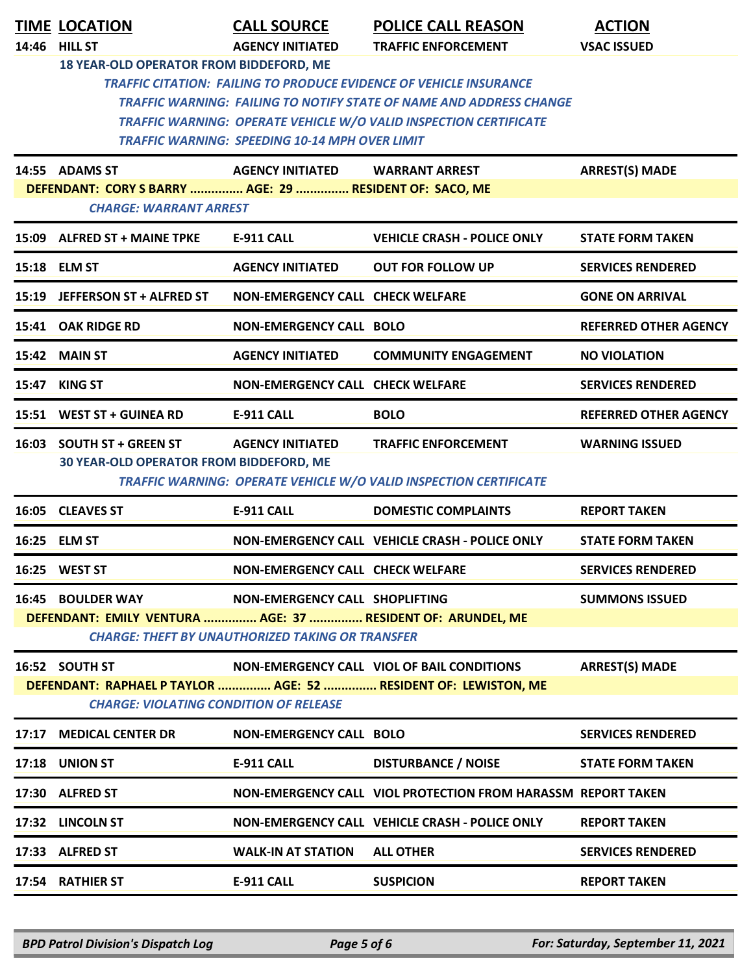|                                                         | <b>TIME LOCATION</b>                                        | <b>CALL SOURCE</b>                                    | <b>POLICE CALL REASON</b>                                                  | <b>ACTION</b>                |  |  |
|---------------------------------------------------------|-------------------------------------------------------------|-------------------------------------------------------|----------------------------------------------------------------------------|------------------------------|--|--|
|                                                         | 14:46 HILL ST                                               | <b>AGENCY INITIATED</b>                               | <b>TRAFFIC ENFORCEMENT</b>                                                 | <b>VSAC ISSUED</b>           |  |  |
|                                                         | 18 YEAR-OLD OPERATOR FROM BIDDEFORD, ME                     |                                                       |                                                                            |                              |  |  |
|                                                         |                                                             |                                                       | <b>TRAFFIC CITATION: FAILING TO PRODUCE EVIDENCE OF VEHICLE INSURANCE</b>  |                              |  |  |
|                                                         |                                                             |                                                       | <b>TRAFFIC WARNING: FAILING TO NOTIFY STATE OF NAME AND ADDRESS CHANGE</b> |                              |  |  |
|                                                         |                                                             | <b>TRAFFIC WARNING: SPEEDING 10-14 MPH OVER LIMIT</b> | <b>TRAFFIC WARNING: OPERATE VEHICLE W/O VALID INSPECTION CERTIFICATE</b>   |                              |  |  |
|                                                         |                                                             |                                                       |                                                                            |                              |  |  |
|                                                         | 14:55 ADAMS ST                                              | <b>AGENCY INITIATED</b>                               | <b>WARRANT ARREST</b>                                                      | <b>ARREST(S) MADE</b>        |  |  |
|                                                         | DEFENDANT: CORY S BARRY  AGE: 29  RESIDENT OF: SACO, ME     |                                                       |                                                                            |                              |  |  |
|                                                         | <b>CHARGE: WARRANT ARREST</b>                               |                                                       |                                                                            |                              |  |  |
|                                                         | 15:09 ALFRED ST + MAINE TPKE                                | <b>E-911 CALL</b>                                     | <b>VEHICLE CRASH - POLICE ONLY</b>                                         | <b>STATE FORM TAKEN</b>      |  |  |
|                                                         | 15:18 ELM ST                                                | <b>AGENCY INITIATED</b>                               | <b>OUT FOR FOLLOW UP</b>                                                   | <b>SERVICES RENDERED</b>     |  |  |
|                                                         | 15:19 JEFFERSON ST + ALFRED ST                              | <b>NON-EMERGENCY CALL CHECK WELFARE</b>               |                                                                            | <b>GONE ON ARRIVAL</b>       |  |  |
|                                                         | 15:41 OAK RIDGE RD                                          | <b>NON-EMERGENCY CALL BOLO</b>                        |                                                                            | <b>REFERRED OTHER AGENCY</b> |  |  |
|                                                         | 15:42 MAIN ST                                               | <b>AGENCY INITIATED</b>                               | <b>COMMUNITY ENGAGEMENT</b>                                                | <b>NO VIOLATION</b>          |  |  |
|                                                         | 15:47 KING ST                                               | NON-EMERGENCY CALL CHECK WELFARE                      |                                                                            | <b>SERVICES RENDERED</b>     |  |  |
|                                                         | 15:51 WEST ST + GUINEA RD                                   | <b>E-911 CALL</b>                                     | <b>BOLO</b>                                                                | <b>REFERRED OTHER AGENCY</b> |  |  |
|                                                         | 16:03 SOUTH ST + GREEN ST                                   | <b>AGENCY INITIATED</b>                               | <b>TRAFFIC ENFORCEMENT</b>                                                 | <b>WARNING ISSUED</b>        |  |  |
|                                                         | 30 YEAR-OLD OPERATOR FROM BIDDEFORD, ME                     |                                                       |                                                                            |                              |  |  |
|                                                         |                                                             |                                                       | TRAFFIC WARNING: OPERATE VEHICLE W/O VALID INSPECTION CERTIFICATE          |                              |  |  |
|                                                         | 16:05 CLEAVES ST                                            | <b>E-911 CALL</b>                                     | <b>DOMESTIC COMPLAINTS</b>                                                 | <b>REPORT TAKEN</b>          |  |  |
|                                                         | 16:25 ELM ST                                                |                                                       | NON-EMERGENCY CALL VEHICLE CRASH - POLICE ONLY                             | <b>STATE FORM TAKEN</b>      |  |  |
|                                                         | 16:25 WEST ST                                               | NON-EMERGENCY CALL CHECK WELFARE                      |                                                                            | <b>SERVICES RENDERED</b>     |  |  |
|                                                         | <b>16:45 BOULDER WAY</b>                                    | NON-EMERGENCY CALL SHOPLIFTING                        |                                                                            | <b>SUMMONS ISSUED</b>        |  |  |
|                                                         | DEFENDANT: EMILY VENTURA  AGE: 37  RESIDENT OF: ARUNDEL, ME |                                                       |                                                                            |                              |  |  |
| <b>CHARGE: THEFT BY UNAUTHORIZED TAKING OR TRANSFER</b> |                                                             |                                                       |                                                                            |                              |  |  |
|                                                         | 16:52 SOUTH ST                                              |                                                       | NON-EMERGENCY CALL VIOL OF BAIL CONDITIONS                                 | <b>ARREST(S) MADE</b>        |  |  |
|                                                         |                                                             |                                                       | DEFENDANT: RAPHAEL P TAYLOR  AGE: 52  RESIDENT OF: LEWISTON, ME            |                              |  |  |
|                                                         | <b>CHARGE: VIOLATING CONDITION OF RELEASE</b>               |                                                       |                                                                            |                              |  |  |
|                                                         | 17:17 MEDICAL CENTER DR                                     | <b>NON-EMERGENCY CALL BOLO</b>                        |                                                                            | <b>SERVICES RENDERED</b>     |  |  |
|                                                         | 17:18 UNION ST                                              | <b>E-911 CALL</b>                                     | <b>DISTURBANCE / NOISE</b>                                                 | <b>STATE FORM TAKEN</b>      |  |  |
|                                                         | 17:30 ALFRED ST                                             |                                                       | NON-EMERGENCY CALL VIOL PROTECTION FROM HARASSM REPORT TAKEN               |                              |  |  |
|                                                         | 17:32 LINCOLN ST                                            |                                                       | NON-EMERGENCY CALL VEHICLE CRASH - POLICE ONLY                             | <b>REPORT TAKEN</b>          |  |  |
|                                                         | 17:33 ALFRED ST                                             | <b>WALK-IN AT STATION</b>                             | <b>ALL OTHER</b>                                                           | <b>SERVICES RENDERED</b>     |  |  |
|                                                         | 17:54 RATHIER ST                                            | <b>E-911 CALL</b>                                     | <b>SUSPICION</b>                                                           | <b>REPORT TAKEN</b>          |  |  |
|                                                         |                                                             |                                                       |                                                                            |                              |  |  |

*BPD Patrol Division's Dispatch Log Page 5 of 6 For: Saturday, September 11, 2021*